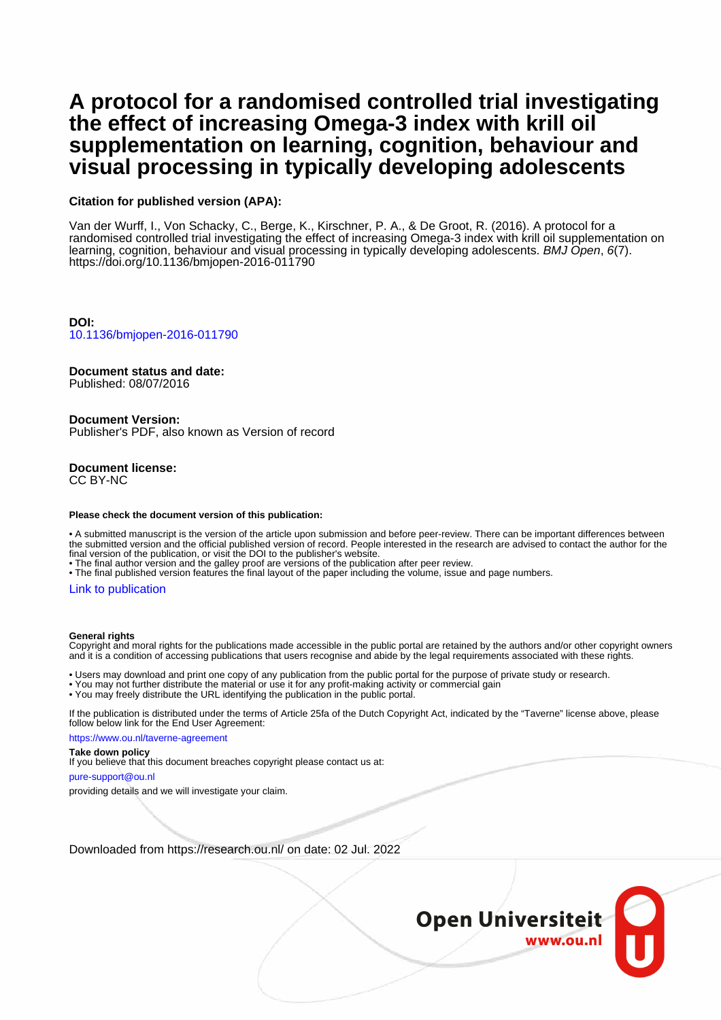# **A protocol for a randomised controlled trial investigating the effect of increasing Omega-3 index with krill oil supplementation on learning, cognition, behaviour and visual processing in typically developing adolescents**

# **Citation for published version (APA):**

Van der Wurff, I., Von Schacky, C., Berge, K., Kirschner, P. A., & De Groot, R. (2016). A protocol for a randomised controlled trial investigating the effect of increasing Omega-3 index with krill oil supplementation on learning, cognition, behaviour and visual processing in typically developing adolescents. BMJ Open, 6(7). <https://doi.org/10.1136/bmjopen-2016-011790>

**DOI:** [10.1136/bmjopen-2016-011790](https://doi.org/10.1136/bmjopen-2016-011790)

# **Document status and date:**

Published: 08/07/2016

# **Document Version:**

Publisher's PDF, also known as Version of record

# **Document license:**

CC BY-NC

#### **Please check the document version of this publication:**

• A submitted manuscript is the version of the article upon submission and before peer-review. There can be important differences between the submitted version and the official published version of record. People interested in the research are advised to contact the author for the final version of the publication, or visit the DOI to the publisher's website.

• The final author version and the galley proof are versions of the publication after peer review.

• The final published version features the final layout of the paper including the volume, issue and page numbers.

#### [Link to publication](https://research.ou.nl/en/publications/17b66978-b800-4357-a8fc-181b11168e0d)

#### **General rights**

Copyright and moral rights for the publications made accessible in the public portal are retained by the authors and/or other copyright owners and it is a condition of accessing publications that users recognise and abide by the legal requirements associated with these rights.

- Users may download and print one copy of any publication from the public portal for the purpose of private study or research.
- You may not further distribute the material or use it for any profit-making activity or commercial gain
- You may freely distribute the URL identifying the publication in the public portal.

If the publication is distributed under the terms of Article 25fa of the Dutch Copyright Act, indicated by the "Taverne" license above, please follow below link for the End User Agreement:

https://www.ou.nl/taverne-agreement

#### **Take down policy**

If you believe that this document breaches copyright please contact us at:

#### pure-support@ou.nl

providing details and we will investigate your claim.

Downloaded from https://research.ou.nl/ on date: 02 Jul. 2022

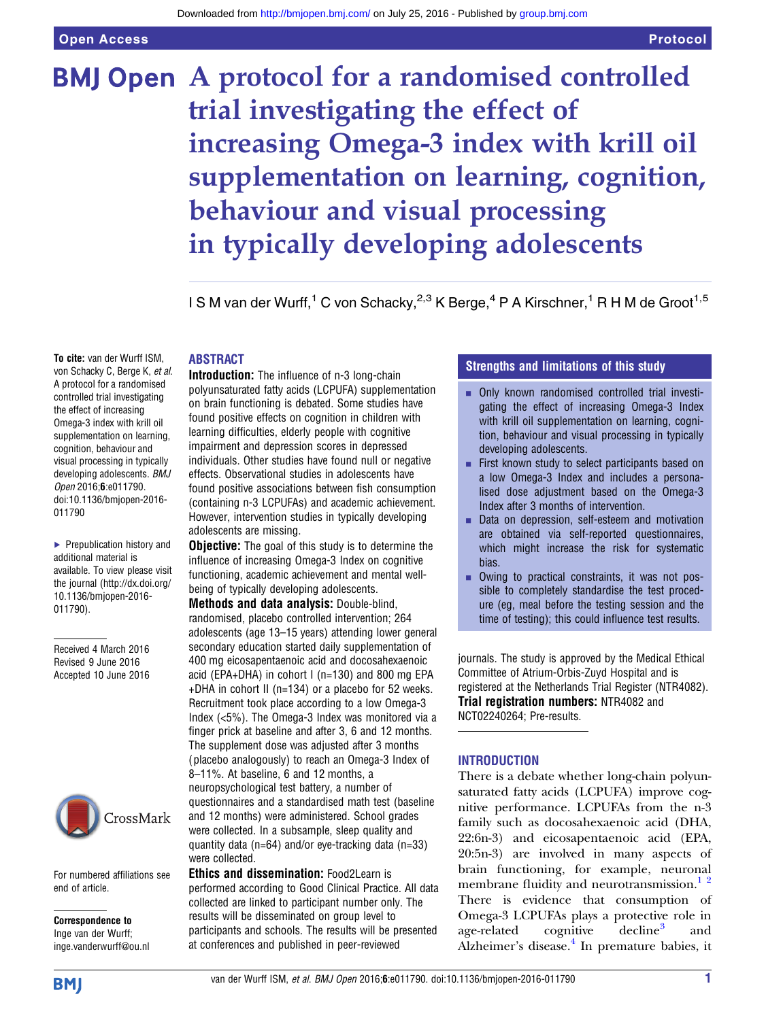# **BMJ Open** A protocol for a randomised controlled trial investigating the effect of increasing Omega-3 index with krill oil supplementation on learning, cognition, behaviour and visual processing in typically developing adolescents

I S M van der Wurff,<sup>1</sup> C von Schacky,<sup>2,3</sup> K Berge,<sup>4</sup> P A Kirschner,<sup>1</sup> R H M de Groot<sup>1,5</sup>

von Schacky C, Berge K, et al. A protocol for a randomised controlled trial investigating the effect of increasing Omega-3 index with krill oil supplementation on learning, cognition, behaviour and visual processing in typically developing adolescents. BMJ Open 2016;6:e011790.

ABSTRACT

To cite: van der Wurff ISM,

▶ Prepublication history and additional material is available. To view please visit the journal [\(http://dx.doi.org/](http://dx.doi.org/10.1136/bmjopen-2016-011790) [10.1136/bmjopen-2016-](http://dx.doi.org/10.1136/bmjopen-2016-011790) [011790\)](http://dx.doi.org/10.1136/bmjopen-2016-011790).

doi:10.1136/bmjopen-2016-

011790

Received 4 March 2016 Revised 9 June 2016 Accepted 10 June 2016



For numbered affiliations see end of article.

Correspondence to Inge van der Wurff; inge.vanderwurff@ou.nl

Introduction: The influence of n-3 long-chain polyunsaturated fatty acids (LCPUFA) supplementation on brain functioning is debated. Some studies have found positive effects on cognition in children with learning difficulties, elderly people with cognitive impairment and depression scores in depressed individuals. Other studies have found null or negative effects. Observational studies in adolescents have found positive associations between fish consumption (containing n-3 LCPUFAs) and academic achievement. However, intervention studies in typically developing adolescents are missing.

**Objective:** The goal of this study is to determine the influence of increasing Omega-3 Index on cognitive functioning, academic achievement and mental wellbeing of typically developing adolescents.

Methods and data analysis: Double-blind, randomised, placebo controlled intervention; 264 adolescents (age 13–15 years) attending lower general secondary education started daily supplementation of 400 mg eicosapentaenoic acid and docosahexaenoic acid (EPA+DHA) in cohort I (n=130) and 800 mg EPA +DHA in cohort II (n=134) or a placebo for 52 weeks. Recruitment took place according to a low Omega-3 Index (<5%). The Omega-3 Index was monitored via a finger prick at baseline and after 3, 6 and 12 months. The supplement dose was adjusted after 3 months ( placebo analogously) to reach an Omega-3 Index of 8–11%. At baseline, 6 and 12 months, a neuropsychological test battery, a number of questionnaires and a standardised math test (baseline and 12 months) were administered. School grades were collected. In a subsample, sleep quality and quantity data (n=64) and/or eye-tracking data (n=33) were collected.

Ethics and dissemination: Food2Learn is performed according to Good Clinical Practice. All data collected are linked to participant number only. The results will be disseminated on group level to participants and schools. The results will be presented at conferences and published in peer-reviewed

# Strengths and limitations of this study

- **. Only known randomised controlled trial investi**gating the effect of increasing Omega-3 Index with krill oil supplementation on learning, cognition, behaviour and visual processing in typically developing adolescents.
- **Example 1** First known study to select participants based on a low Omega-3 Index and includes a personalised dose adjustment based on the Omega-3 Index after 3 months of intervention.
- Data on depression, self-esteem and motivation are obtained via self-reported questionnaires, which might increase the risk for systematic bias.
- Owing to practical constraints, it was not possible to completely standardise the test procedure (eg, meal before the testing session and the time of testing); this could influence test results.

journals. The study is approved by the Medical Ethical Committee of Atrium-Orbis-Zuyd Hospital and is registered at the Netherlands Trial Register (NTR4082). Trial registration numbers: NTR4082 and NCT02240264; Pre-results.

# **INTRODUCTION**

There is a debate whether long-chain polyunsaturated fatty acids (LCPUFA) improve cognitive performance. LCPUFAs from the n-3 family such as docosahexaenoic acid (DHA, 22:6n-3) and eicosapentaenoic acid (EPA, 20:5n-3) are involved in many aspects of brain functioning, for example, neuronal membrane fluidity and neurotransmission.<sup>12</sup> There is evidence that consumption of Omega-3 LCPUFAs plays a protective role in age-related cognitive decline<sup>[3](#page-9-0)</sup> and Alzheimer's disease. $4$  In premature babies, it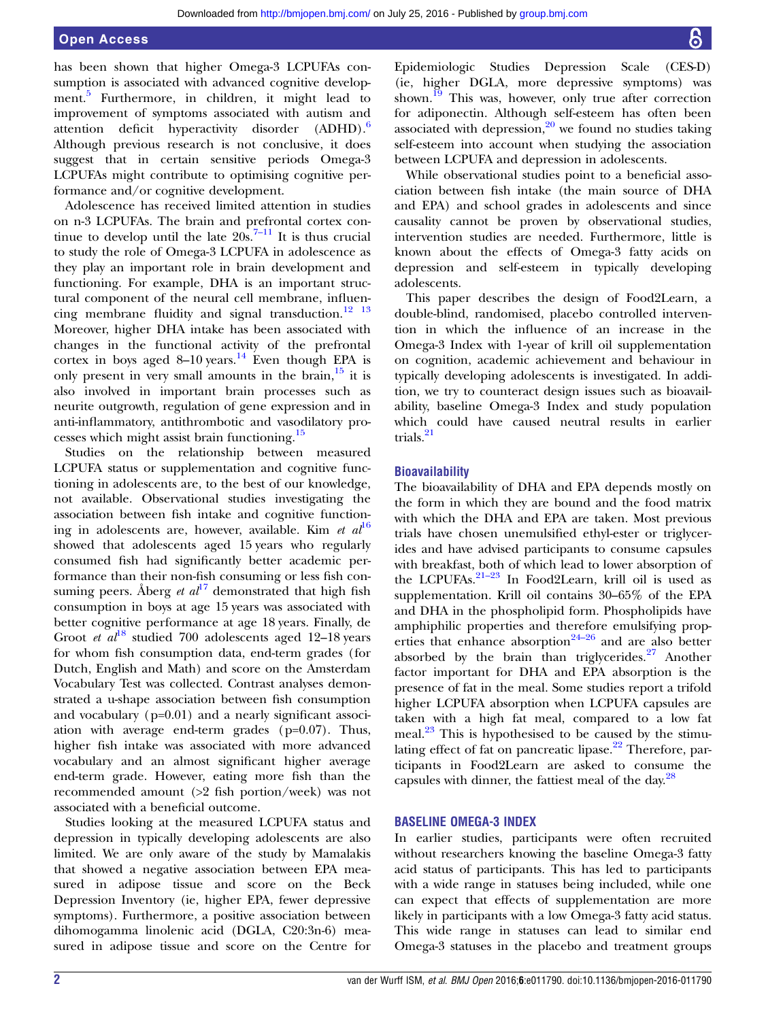has been shown that higher Omega-3 LCPUFAs consumption is associated with advanced cognitive develop-ment.<sup>[5](#page-9-0)</sup> Furthermore, in children, it might lead to improvement of symptoms associated with autism and attention deficit hyperactivity disorder  $(ADHD)$ .<sup>[6](#page-9-0)</sup> Although previous research is not conclusive, it does suggest that in certain sensitive periods Omega-3 LCPUFAs might contribute to optimising cognitive performance and/or cognitive development.

Adolescence has received limited attention in studies on n-3 LCPUFAs. The brain and prefrontal cortex continue to develop until the late  $20s^{7-11}$  $20s^{7-11}$  $20s^{7-11}$  It is thus crucial to study the role of Omega-3 LCPUFA in adolescence as they play an important role in brain development and functioning. For example, DHA is an important structural component of the neural cell membrane, influencing membrane fluidity and signal transduction.<sup>12</sup> <sup>13</sup> Moreover, higher DHA intake has been associated with changes in the functional activity of the prefrontal cortex in boys aged 8-10 years.<sup>[14](#page-9-0)</sup> Even though EPA is only present in very small amounts in the brain, $15$  it is also involved in important brain processes such as neurite outgrowth, regulation of gene expression and in anti-inflammatory, antithrombotic and vasodilatory processes which might assist brain functioning. $15$ 

Studies on the relationship between measured LCPUFA status or supplementation and cognitive functioning in adolescents are, to the best of our knowledge, not available. Observational studies investigating the association between fish intake and cognitive functioning in adolescents are, however, available. Kim et  $al^{16}$  $al^{16}$  $al^{16}$ showed that adolescents aged 15 years who regularly consumed fish had significantly better academic performance than their non-fish consuming or less fish consuming peers. Åberg et  $al^{17}$  $al^{17}$  $al^{17}$  demonstrated that high fish consumption in boys at age 15 years was associated with better cognitive performance at age 18 years. Finally, de Groot et  $a^{18}$  $a^{18}$  $a^{18}$  studied 700 adolescents aged 12–18 years for whom fish consumption data, end-term grades (for Dutch, English and Math) and score on the Amsterdam Vocabulary Test was collected. Contrast analyses demonstrated a u-shape association between fish consumption and vocabulary (p=0.01) and a nearly significant association with average end-term grades (p=0.07). Thus, higher fish intake was associated with more advanced vocabulary and an almost significant higher average end-term grade. However, eating more fish than the recommended amount (>2 fish portion/week) was not associated with a beneficial outcome.

Studies looking at the measured LCPUFA status and depression in typically developing adolescents are also limited. We are only aware of the study by Mamalakis that showed a negative association between EPA measured in adipose tissue and score on the Beck Depression Inventory (ie, higher EPA, fewer depressive symptoms). Furthermore, a positive association between dihomogamma linolenic acid (DGLA, C20:3n-6) measured in adipose tissue and score on the Centre for

Epidemiologic Studies Depression Scale (CES-D) (ie, higher DGLA, more depressive symptoms) was shown. $^{19}$  $^{19}$  $^{19}$  This was, however, only true after correction for adiponectin. Although self-esteem has often been associated with depression, $20$  we found no studies taking self-esteem into account when studying the association between LCPUFA and depression in adolescents.

While observational studies point to a beneficial association between fish intake (the main source of DHA and EPA) and school grades in adolescents and since causality cannot be proven by observational studies, intervention studies are needed. Furthermore, little is known about the effects of Omega-3 fatty acids on depression and self-esteem in typically developing adolescents.

This paper describes the design of Food2Learn, a double-blind, randomised, placebo controlled intervention in which the influence of an increase in the Omega-3 Index with 1-year of krill oil supplementation on cognition, academic achievement and behaviour in typically developing adolescents is investigated. In addition, we try to counteract design issues such as bioavailability, baseline Omega-3 Index and study population which could have caused neutral results in earlier trials[.21](#page-9-0)

# **Bioavailability**

The bioavailability of DHA and EPA depends mostly on the form in which they are bound and the food matrix with which the DHA and EPA are taken. Most previous trials have chosen unemulsified ethyl-ester or triglycerides and have advised participants to consume capsules with breakfast, both of which lead to lower absorption of the LCPUFAs. $21-23$  $21-23$  In Food2Learn, krill oil is used as supplementation. Krill oil contains 30–65% of the EPA and DHA in the phospholipid form. Phospholipids have amphiphilic properties and therefore emulsifying prop-erties that enhance absorption<sup>24–[26](#page-9-0)</sup> and are also better absorbed by the brain than triglycerides. $27$  Another factor important for DHA and EPA absorption is the presence of fat in the meal. Some studies report a trifold higher LCPUFA absorption when LCPUFA capsules are taken with a high fat meal, compared to a low fat meal. $^{23}$  This is hypothesised to be caused by the stimulating effect of fat on pancreatic lipase. $2<sup>22</sup>$  $2<sup>22</sup>$  $2<sup>22</sup>$  Therefore, participants in Food2Learn are asked to consume the capsules with dinner, the fattiest meal of the day.[28](#page-9-0)

#### BASELINE OMEGA-3 INDEX

In earlier studies, participants were often recruited without researchers knowing the baseline Omega-3 fatty acid status of participants. This has led to participants with a wide range in statuses being included, while one can expect that effects of supplementation are more likely in participants with a low Omega-3 fatty acid status. This wide range in statuses can lead to similar end Omega-3 statuses in the placebo and treatment groups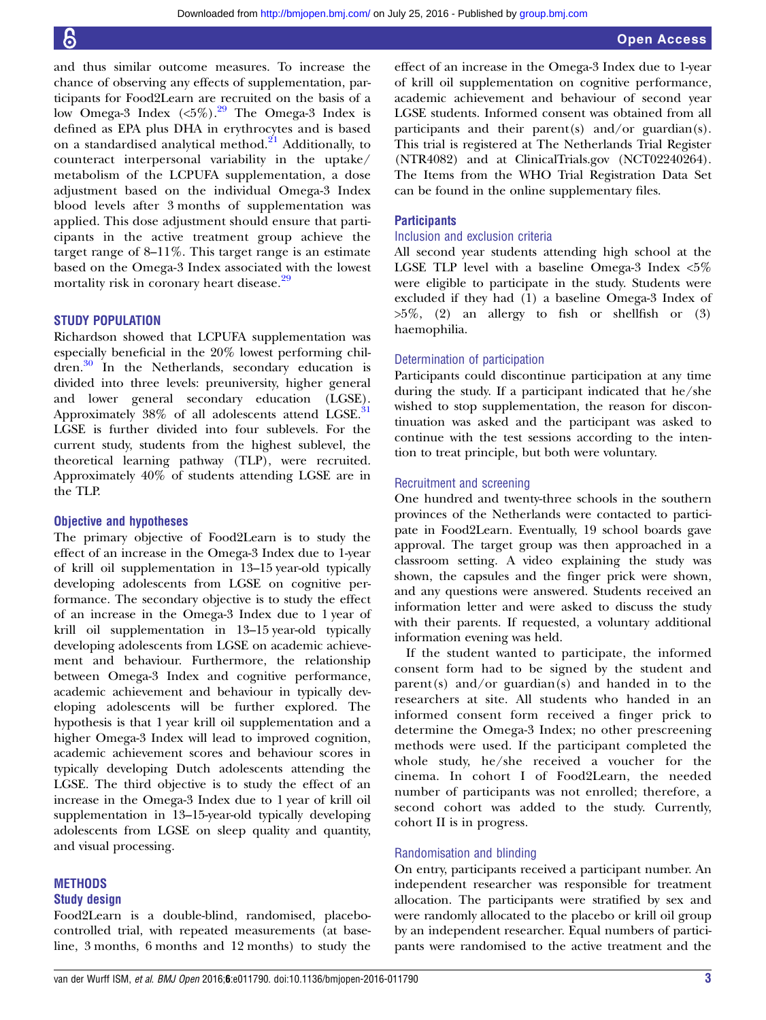and thus similar outcome measures. To increase the chance of observing any effects of supplementation, participants for Food2Learn are recruited on the basis of a low Omega-3 Index  $(<5\%)$ .<sup>[29](#page-9-0)</sup> The Omega-3 Index is defined as EPA plus DHA in erythrocytes and is based on a standardised analytical method. $2^1$  Additionally, to counteract interpersonal variability in the uptake/ metabolism of the LCPUFA supplementation, a dose adjustment based on the individual Omega-3 Index blood levels after 3 months of supplementation was applied. This dose adjustment should ensure that participants in the active treatment group achieve the target range of 8–11%. This target range is an estimate based on the Omega-3 Index associated with the lowest mortality risk in coronary heart disease.<sup>[29](#page-9-0)</sup>

# STUDY POPULATION

Richardson showed that LCPUFA supplementation was especially beneficial in the 20% lowest performing children.[30](#page-9-0) In the Netherlands, secondary education is divided into three levels: preuniversity, higher general and lower general secondary education (LGSE). Approximately 38% of all adolescents attend LGSE.<sup>[31](#page-9-0)</sup> LGSE is further divided into four sublevels. For the current study, students from the highest sublevel, the theoretical learning pathway (TLP), were recruited. Approximately 40% of students attending LGSE are in the TLP.

# Objective and hypotheses

The primary objective of Food2Learn is to study the effect of an increase in the Omega-3 Index due to 1-year of krill oil supplementation in 13–15 year-old typically developing adolescents from LGSE on cognitive performance. The secondary objective is to study the effect of an increase in the Omega-3 Index due to 1 year of krill oil supplementation in 13–15 year-old typically developing adolescents from LGSE on academic achievement and behaviour. Furthermore, the relationship between Omega-3 Index and cognitive performance, academic achievement and behaviour in typically developing adolescents will be further explored. The hypothesis is that 1 year krill oil supplementation and a higher Omega-3 Index will lead to improved cognition, academic achievement scores and behaviour scores in typically developing Dutch adolescents attending the LGSE. The third objective is to study the effect of an increase in the Omega-3 Index due to 1 year of krill oil supplementation in 13–15-year-old typically developing adolescents from LGSE on sleep quality and quantity, and visual processing.

# **METHODS**

# Study design

Food2Learn is a double-blind, randomised, placebocontrolled trial, with repeated measurements (at baseline, 3 months, 6 months and 12 months) to study the

effect of an increase in the Omega-3 Index due to 1-year of krill oil supplementation on cognitive performance, academic achievement and behaviour of second year LGSE students. Informed consent was obtained from all participants and their parent(s) and/or guardian(s). This trial is registered at The Netherlands Trial Register (NTR4082) and at ClinicalTrials.gov (NCT02240264). The Items from the WHO Trial Registration Data Set can be found in the online supplementary files.

# **Participants**

# Inclusion and exclusion criteria

All second year students attending high school at the LGSE TLP level with a baseline Omega-3 Index <5% were eligible to participate in the study. Students were excluded if they had (1) a baseline Omega-3 Index of  $>5\%$ , (2) an allergy to fish or shellfish or (3) haemophilia.

# Determination of participation

Participants could discontinue participation at any time during the study. If a participant indicated that he/she wished to stop supplementation, the reason for discontinuation was asked and the participant was asked to continue with the test sessions according to the intention to treat principle, but both were voluntary.

# Recruitment and screening

One hundred and twenty-three schools in the southern provinces of the Netherlands were contacted to participate in Food2Learn. Eventually, 19 school boards gave approval. The target group was then approached in a classroom setting. A video explaining the study was shown, the capsules and the finger prick were shown, and any questions were answered. Students received an information letter and were asked to discuss the study with their parents. If requested, a voluntary additional information evening was held.

If the student wanted to participate, the informed consent form had to be signed by the student and parent(s) and/or guardian(s) and handed in to the researchers at site. All students who handed in an informed consent form received a finger prick to determine the Omega-3 Index; no other prescreening methods were used. If the participant completed the whole study, he/she received a voucher for the cinema. In cohort I of Food2Learn, the needed number of participants was not enrolled; therefore, a second cohort was added to the study. Currently, cohort II is in progress.

# Randomisation and blinding

On entry, participants received a participant number. An independent researcher was responsible for treatment allocation. The participants were stratified by sex and were randomly allocated to the placebo or krill oil group by an independent researcher. Equal numbers of participants were randomised to the active treatment and the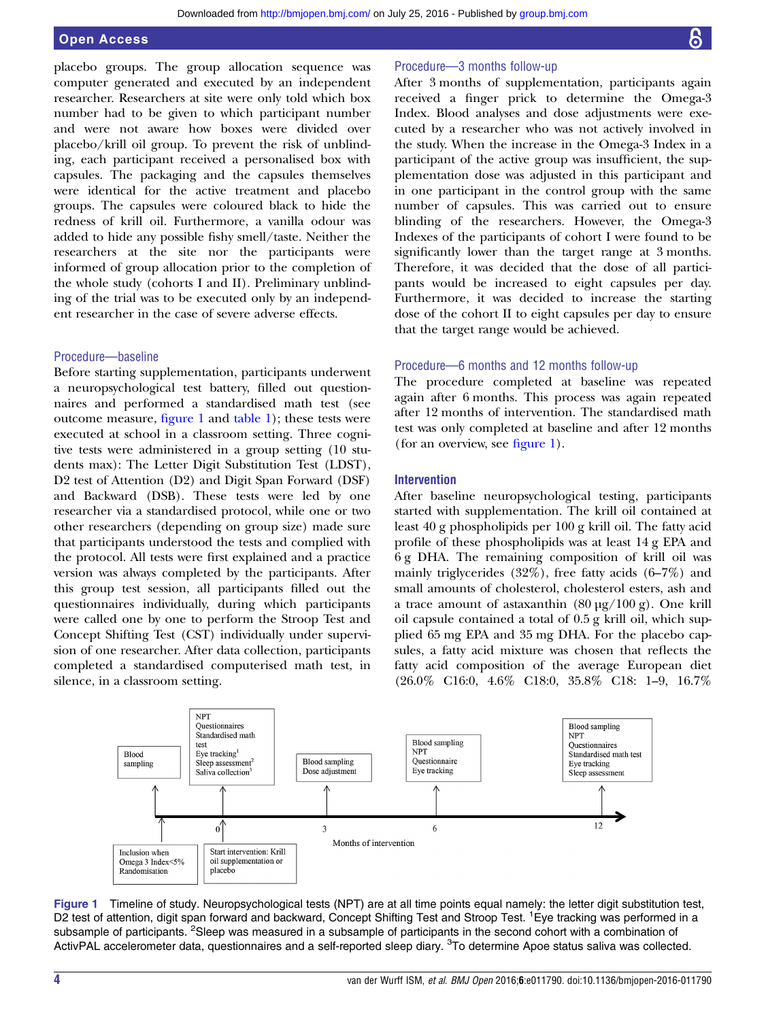placebo groups. The group allocation sequence was computer generated and executed by an independent researcher. Researchers at site were only told which box number had to be given to which participant number and were not aware how boxes were divided over placebo/krill oil group. To prevent the risk of unblinding, each participant received a personalised box with capsules. The packaging and the capsules themselves were identical for the active treatment and placebo groups. The capsules were coloured black to hide the redness of krill oil. Furthermore, a vanilla odour was added to hide any possible fishy smell/taste. Neither the researchers at the site nor the participants were informed of group allocation prior to the completion of the whole study (cohorts I and II). Preliminary unblinding of the trial was to be executed only by an independent researcher in the case of severe adverse effects.

#### Procedure—baseline

Before starting supplementation, participants underwent a neuropsychological test battery, filled out questionnaires and performed a standardised math test (see outcome measure, figure 1 and [table 1](#page-5-0)); these tests were executed at school in a classroom setting. Three cognitive tests were administered in a group setting (10 students max): The Letter Digit Substitution Test (LDST), D2 test of Attention (D2) and Digit Span Forward (DSF) and Backward (DSB). These tests were led by one researcher via a standardised protocol, while one or two other researchers (depending on group size) made sure that participants understood the tests and complied with the protocol. All tests were first explained and a practice version was always completed by the participants. After this group test session, all participants filled out the questionnaires individually, during which participants were called one by one to perform the Stroop Test and Concept Shifting Test (CST) individually under supervision of one researcher. After data collection, participants completed a standardised computerised math test, in silence, in a classroom setting.

# Procedure—3 months follow-up

After 3 months of supplementation, participants again received a finger prick to determine the Omega-3 Index. Blood analyses and dose adjustments were executed by a researcher who was not actively involved in the study. When the increase in the Omega-3 Index in a participant of the active group was insufficient, the supplementation dose was adjusted in this participant and in one participant in the control group with the same number of capsules. This was carried out to ensure blinding of the researchers. However, the Omega-3 Indexes of the participants of cohort I were found to be significantly lower than the target range at 3 months. Therefore, it was decided that the dose of all participants would be increased to eight capsules per day. Furthermore, it was decided to increase the starting dose of the cohort II to eight capsules per day to ensure that the target range would be achieved.

# Procedure—6 months and 12 months follow-up

The procedure completed at baseline was repeated again after 6 months. This process was again repeated after 12 months of intervention. The standardised math test was only completed at baseline and after 12 months ( for an overview, see figure 1).

#### Intervention

After baseline neuropsychological testing, participants started with supplementation. The krill oil contained at least 40 g phospholipids per 100 g krill oil. The fatty acid profile of these phospholipids was at least 14 g EPA and 6 g DHA. The remaining composition of krill oil was mainly triglycerides  $(32\%)$ , free fatty acids  $(6-7\%)$  and small amounts of cholesterol, cholesterol esters, ash and a trace amount of astaxanthin  $(80 \text{ µg}/100 \text{ g})$ . One krill oil capsule contained a total of 0.5 g krill oil, which supplied 65 mg EPA and 35 mg DHA. For the placebo capsules, a fatty acid mixture was chosen that reflects the fatty acid composition of the average European diet (26.0% C16:0, 4.6% C18:0, 35.8% C18: 1–9, 16.7%



Figure 1 Timeline of study. Neuropsychological tests (NPT) are at all time points equal namely: the letter digit substitution test, D2 test of attention, digit span forward and backward, Concept Shifting Test and Stroop Test. <sup>1</sup>Eye tracking was performed in a subsample of participants. <sup>2</sup>Sleep was measured in a subsample of participants in the second cohort with a combination of ActivPAL accelerometer data, questionnaires and a self-reported sleep diary. <sup>3</sup>To determine Apoe status saliva was collected.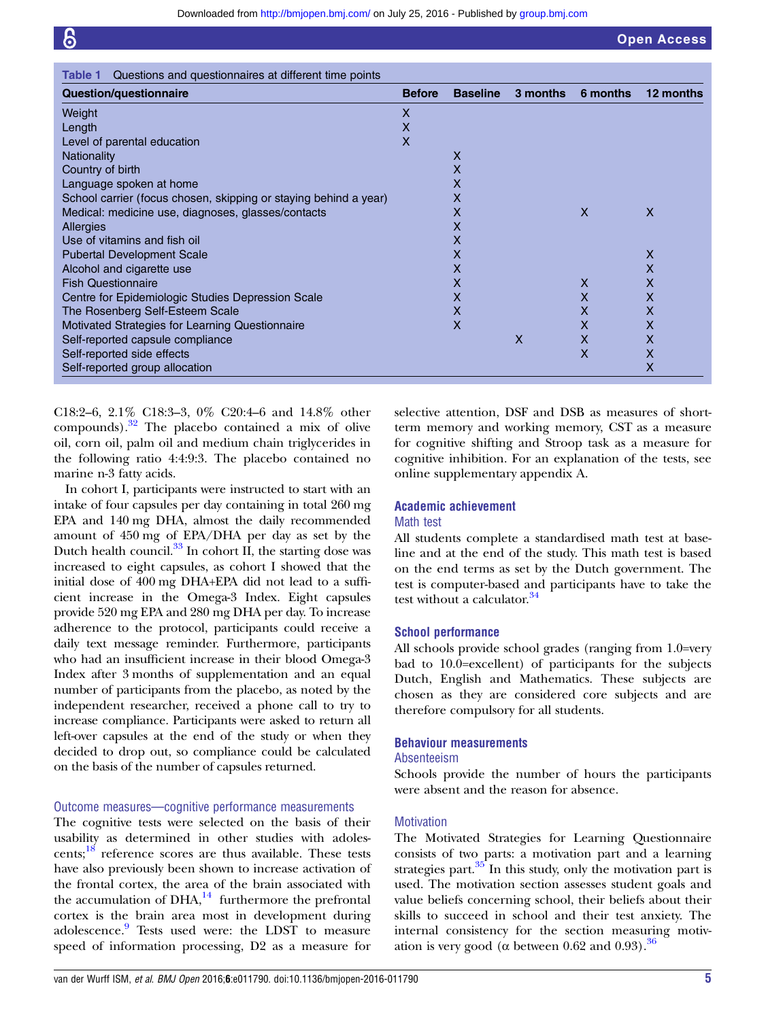<span id="page-5-0"></span>

| Question/questionnaire                                           | <b>Before</b> | <b>Baseline</b> | 3 months | 6 months                  | 12 months |
|------------------------------------------------------------------|---------------|-----------------|----------|---------------------------|-----------|
| Weight                                                           | X             |                 |          |                           |           |
| Length                                                           | X             |                 |          |                           |           |
| Level of parental education                                      | X             |                 |          |                           |           |
| <b>Nationality</b>                                               |               | X               |          |                           |           |
| Country of birth                                                 |               | Χ               |          |                           |           |
| Language spoken at home                                          |               | χ               |          |                           |           |
| School carrier (focus chosen, skipping or staying behind a year) |               | Χ               |          |                           |           |
| Medical: medicine use, diagnoses, glasses/contacts               |               | x               |          | $\boldsymbol{\mathsf{X}}$ | x         |
| <b>Allergies</b>                                                 |               | х               |          |                           |           |
| Use of vitamins and fish oil                                     |               | Χ               |          |                           |           |
| <b>Pubertal Development Scale</b>                                |               | x               |          |                           | X         |
| Alcohol and cigarette use                                        |               | х               |          |                           | Χ         |
| <b>Fish Questionnaire</b>                                        |               | Χ               |          | X                         | Χ         |
| Centre for Epidemiologic Studies Depression Scale                |               | x               |          | X                         | X         |
| The Rosenberg Self-Esteem Scale                                  |               | X               |          | x                         | Χ         |
| Motivated Strategies for Learning Questionnaire                  |               | X               |          | X                         | X         |
| Self-reported capsule compliance                                 |               |                 | X        | Χ                         | Χ         |
| Self-reported side effects                                       |               |                 |          | Χ                         | Χ         |
| Self-reported group allocation                                   |               |                 |          |                           | X         |

C18:2–6, 2.1% C18:3–3, 0% C20:4–6 and 14.8% other compounds).[32](#page-9-0) The placebo contained a mix of olive oil, corn oil, palm oil and medium chain triglycerides in the following ratio 4:4:9:3. The placebo contained no marine n-3 fatty acids.

In cohort I, participants were instructed to start with an intake of four capsules per day containing in total 260 mg EPA and 140 mg DHA, almost the daily recommended amount of 450 mg of EPA/DHA per day as set by the Dutch health council. $33$  In cohort II, the starting dose was increased to eight capsules, as cohort I showed that the initial dose of 400 mg DHA+EPA did not lead to a sufficient increase in the Omega-3 Index. Eight capsules provide 520 mg EPA and 280 mg DHA per day. To increase adherence to the protocol, participants could receive a daily text message reminder. Furthermore, participants who had an insufficient increase in their blood Omega-3 Index after 3 months of supplementation and an equal number of participants from the placebo, as noted by the independent researcher, received a phone call to try to increase compliance. Participants were asked to return all left-over capsules at the end of the study or when they decided to drop out, so compliance could be calculated on the basis of the number of capsules returned.

# Outcome measures—cognitive performance measurements

The cognitive tests were selected on the basis of their usability as determined in other studies with adoles-cents;<sup>[18](#page-9-0)</sup> reference scores are thus available. These tests have also previously been shown to increase activation of the frontal cortex, the area of the brain associated with the accumulation of DHA, $^{14}$  $^{14}$  $^{14}$  furthermore the prefrontal cortex is the brain area most in development during adolescence.<sup>[9](#page-9-0)</sup> Tests used were: the LDST to measure speed of information processing, D2 as a measure for

selective attention, DSF and DSB as measures of shortterm memory and working memory, CST as a measure for cognitive shifting and Stroop task as a measure for cognitive inhibition. For an explanation of the tests, see online supplementary appendix A.

#### Academic achievement

# Math test

All students complete a standardised math test at baseline and at the end of the study. This math test is based on the end terms as set by the Dutch government. The test is computer-based and participants have to take the test without a calculator. $34$ 

#### School performance

All schools provide school grades (ranging from 1.0=very bad to 10.0=excellent) of participants for the subjects Dutch, English and Mathematics. These subjects are chosen as they are considered core subjects and are therefore compulsory for all students.

# Behaviour measurements

#### Absenteeism

Schools provide the number of hours the participants were absent and the reason for absence.

# **Motivation**

The Motivated Strategies for Learning Questionnaire consists of two parts: a motivation part and a learning strategies part.<sup>[35](#page-9-0)</sup> In this study, only the motivation part is used. The motivation section assesses student goals and value beliefs concerning school, their beliefs about their skills to succeed in school and their test anxiety. The internal consistency for the section measuring motiv-ation is very good (α between 0.62 and 0.93).<sup>[36](#page-9-0)</sup>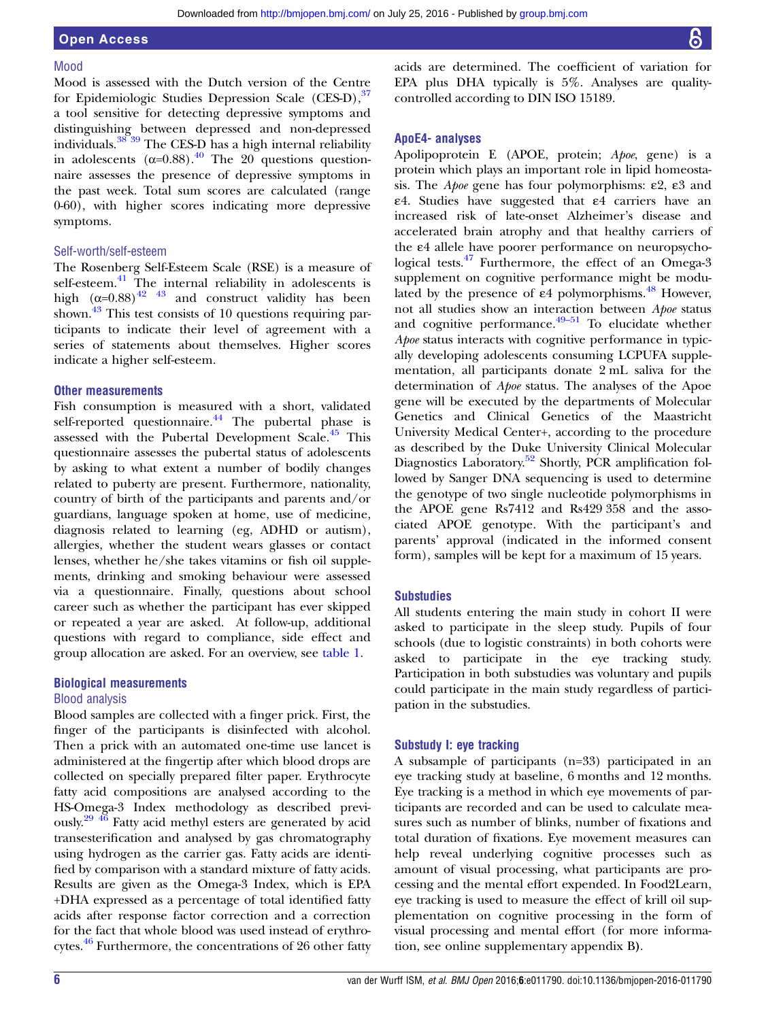#### Mood

Mood is assessed with the Dutch version of the Centre for Epidemiologic Studies Depression Scale  $(CES-D)$ ,<sup>[37](#page-9-0)</sup> a tool sensitive for detecting depressive symptoms and distinguishing between depressed and non-depressed individuals.[38 39](#page-9-0) The CES-D has a high internal reliability in adolescents ( $\alpha$ =0.88).<sup>[40](#page-9-0)</sup> The 20 questions questionnaire assesses the presence of depressive symptoms in the past week. Total sum scores are calculated (range 0-60), with higher scores indicating more depressive symptoms.

## Self-worth/self-esteem

The Rosenberg Self-Esteem Scale (RSE) is a measure of self-esteem.<sup>41</sup> The internal reliability in adolescents is high  $(\alpha=0.88)^{42}$  <sup>43</sup> and construct validity has been shown.<sup>[43](#page-9-0)</sup> This test consists of 10 questions requiring participants to indicate their level of agreement with a series of statements about themselves. Higher scores indicate a higher self-esteem.

#### Other measurements

Fish consumption is measured with a short, validated self-reported questionnaire.<sup>[44](#page-9-0)</sup> The pubertal phase is assessed with the Pubertal Development Scale.<sup>45</sup> This questionnaire assesses the pubertal status of adolescents by asking to what extent a number of bodily changes related to puberty are present. Furthermore, nationality, country of birth of the participants and parents and/or guardians, language spoken at home, use of medicine, diagnosis related to learning (eg, ADHD or autism), allergies, whether the student wears glasses or contact lenses, whether he/she takes vitamins or fish oil supplements, drinking and smoking behaviour were assessed via a questionnaire. Finally, questions about school career such as whether the participant has ever skipped or repeated a year are asked. At follow-up, additional questions with regard to compliance, side effect and group allocation are asked. For an overview, see [table 1](#page-5-0).

#### Biological measurements

#### Blood analysis

Blood samples are collected with a finger prick. First, the finger of the participants is disinfected with alcohol. Then a prick with an automated one-time use lancet is administered at the fingertip after which blood drops are collected on specially prepared filter paper. Erythrocyte fatty acid compositions are analysed according to the HS-Omega-3 Index methodology as described previously.<sup>29</sup> <sup>46</sup> Fatty acid methyl esters are generated by acid transesterification and analysed by gas chromatography using hydrogen as the carrier gas. Fatty acids are identified by comparison with a standard mixture of fatty acids. Results are given as the Omega-3 Index, which is EPA +DHA expressed as a percentage of total identified fatty acids after response factor correction and a correction for the fact that whole blood was used instead of erythro-cytes.<sup>[46](#page-9-0)</sup> Furthermore, the concentrations of 26 other fatty acids are determined. The coefficient of variation for EPA plus DHA typically is 5%. Analyses are qualitycontrolled according to DIN ISO 15189.

#### ApoE4- analyses

Apolipoprotein E (APOE, protein; Apoe, gene) is a protein which plays an important role in lipid homeostasis. The *Apoe* gene has four polymorphisms: ε2, ε3 and ε4. Studies have suggested that ε4 carriers have an increased risk of late-onset Alzheimer's disease and accelerated brain atrophy and that healthy carriers of the ε4 allele have poorer performance on neuropsycho-logical tests.<sup>[47](#page-9-0)</sup> Furthermore, the effect of an Omega-3 supplement on cognitive performance might be modulated by the presence of  $\varepsilon$ 4 polymorphisms.<sup>48</sup> However, not all studies show an interaction between Apoe status and cognitive performance. $49-51$  $49-51$  To elucidate whether Apoe status interacts with cognitive performance in typically developing adolescents consuming LCPUFA supplementation, all participants donate 2 mL saliva for the determination of Apoe status. The analyses of the Apoe gene will be executed by the departments of Molecular Genetics and Clinical Genetics of the Maastricht University Medical Center+, according to the procedure as described by the Duke University Clinical Molecular Diagnostics Laboratory.<sup>52</sup> Shortly, PCR amplification followed by Sanger DNA sequencing is used to determine the genotype of two single nucleotide polymorphisms in the APOE gene Rs7412 and Rs429 358 and the associated APOE genotype. With the participant's and parents' approval (indicated in the informed consent form), samples will be kept for a maximum of 15 years.

#### **Substudies**

All students entering the main study in cohort II were asked to participate in the sleep study. Pupils of four schools (due to logistic constraints) in both cohorts were asked to participate in the eye tracking study. Participation in both substudies was voluntary and pupils could participate in the main study regardless of participation in the substudies.

# Substudy I: eye tracking

A subsample of participants (n=33) participated in an eye tracking study at baseline, 6 months and 12 months. Eye tracking is a method in which eye movements of participants are recorded and can be used to calculate measures such as number of blinks, number of fixations and total duration of fixations. Eye movement measures can help reveal underlying cognitive processes such as amount of visual processing, what participants are processing and the mental effort expended. In Food2Learn, eye tracking is used to measure the effect of krill oil supplementation on cognitive processing in the form of visual processing and mental effort (for more information, see online supplementary appendix B).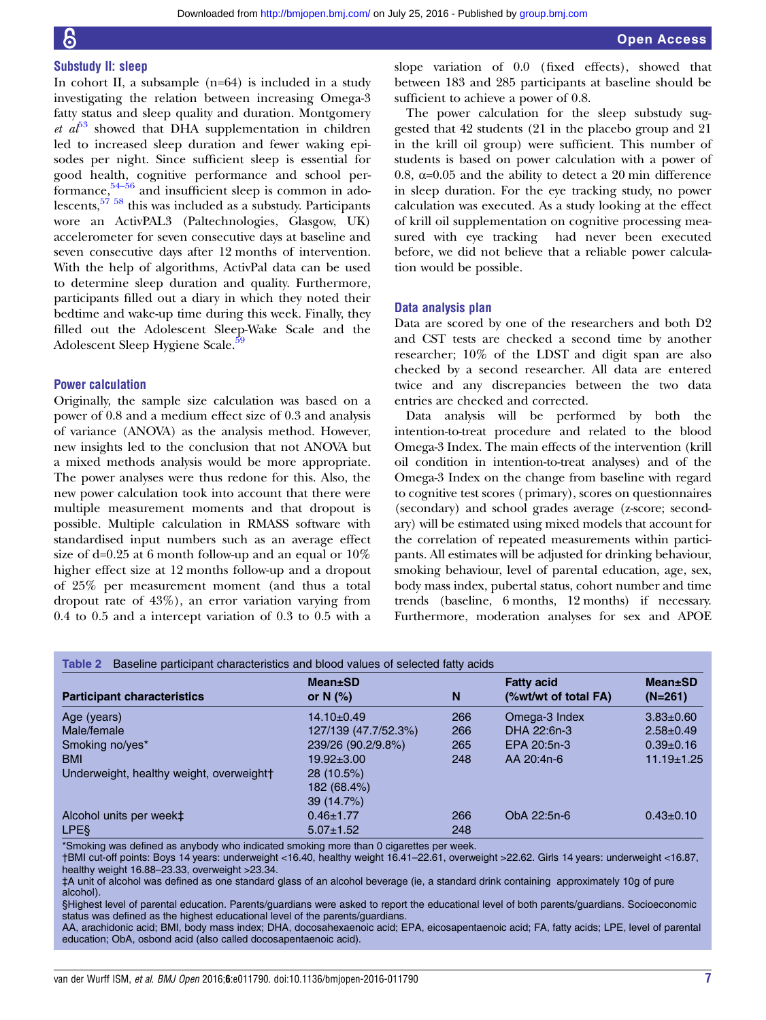# <span id="page-7-0"></span>Substudy II: sleep

In cohort II, a subsample (n=64) is included in a study investigating the relation between increasing Omega-3 fatty status and sleep quality and duration. Montgomery et  $a\bar{b}^3$  showed that DHA supplementation in children led to increased sleep duration and fewer waking episodes per night. Since sufficient sleep is essential for good health, cognitive performance and school per- $\frac{54-56}{9}$  $\frac{54-56}{9}$  $\frac{54-56}{9}$  and insufficient sleep is common in adolescents,  $57\,58$  this was included as a substudy. Participants wore an ActivPAL3 (Paltechnologies, Glasgow, UK) accelerometer for seven consecutive days at baseline and seven consecutive days after 12 months of intervention. With the help of algorithms, ActivPal data can be used to determine sleep duration and quality. Furthermore, participants filled out a diary in which they noted their bedtime and wake-up time during this week. Finally, they filled out the Adolescent Sleep-Wake Scale and the Adolescent Sleep Hygiene Scale.<sup>[59](#page-10-0)</sup>

# Power calculation

Originally, the sample size calculation was based on a power of 0.8 and a medium effect size of 0.3 and analysis of variance (ANOVA) as the analysis method. However, new insights led to the conclusion that not ANOVA but a mixed methods analysis would be more appropriate. The power analyses were thus redone for this. Also, the new power calculation took into account that there were multiple measurement moments and that dropout is possible. Multiple calculation in RMASS software with standardised input numbers such as an average effect size of d=0.25 at 6 month follow-up and an equal or 10% higher effect size at 12 months follow-up and a dropout of 25% per measurement moment (and thus a total dropout rate of 43%), an error variation varying from 0.4 to 0.5 and a intercept variation of 0.3 to 0.5 with a slope variation of 0.0 (fixed effects), showed that between 183 and 285 participants at baseline should be sufficient to achieve a power of 0.8.

The power calculation for the sleep substudy suggested that 42 students (21 in the placebo group and 21 in the krill oil group) were sufficient. This number of students is based on power calculation with a power of 0.8,  $\alpha$ =0.05 and the ability to detect a 20 min difference in sleep duration. For the eye tracking study, no power calculation was executed. As a study looking at the effect of krill oil supplementation on cognitive processing measured with eye tracking had never been executed before, we did not believe that a reliable power calculation would be possible.

# Data analysis plan

Data are scored by one of the researchers and both D2 and CST tests are checked a second time by another researcher; 10% of the LDST and digit span are also checked by a second researcher. All data are entered twice and any discrepancies between the two data entries are checked and corrected.

Data analysis will be performed by both the intention-to-treat procedure and related to the blood Omega-3 Index. The main effects of the intervention (krill oil condition in intention-to-treat analyses) and of the Omega-3 Index on the change from baseline with regard to cognitive test scores (primary), scores on questionnaires (secondary) and school grades average (z-score; secondary) will be estimated using mixed models that account for the correlation of repeated measurements within participants. All estimates will be adjusted for drinking behaviour, smoking behaviour, level of parental education, age, sex, body mass index, pubertal status, cohort number and time trends (baseline, 6 months, 12 months) if necessary. Furthermore, moderation analyses for sex and APOE

|                                          | <b>Mean</b> ±SD      |     | <b>Fatty acid</b>    | <b>Mean</b> ±SD  |
|------------------------------------------|----------------------|-----|----------------------|------------------|
| <b>Participant characteristics</b>       | or N $(%)$           | N   | (%wt/wt of total FA) | $(N=261)$        |
| Age (years)                              | $14.10 \pm 0.49$     | 266 | Omega-3 Index        | $3.83 \pm 0.60$  |
| Male/female                              | 127/139 (47.7/52.3%) | 266 | DHA 22:6n-3          | $2.58 \pm 0.49$  |
| Smoking no/yes*                          | 239/26 (90.2/9.8%)   | 265 | EPA 20:5n-3          | $0.39 \pm 0.16$  |
| <b>BMI</b>                               | $19.92 \pm 3.00$     | 248 | AA 20:4n-6           | $11.19 \pm 1.25$ |
| Underweight, healthy weight, overweight† | 28 (10.5%)           |     |                      |                  |
|                                          | 182 (68.4%)          |     |                      |                  |
|                                          | 39 (14.7%)           |     |                      |                  |
| Alcohol units per week‡                  | $0.46 \pm 1.77$      | 266 | ObA 22:5n-6          | $0.43 \pm 0.10$  |
| <b>LPES</b>                              | $5.07 \pm 1.52$      | 248 |                      |                  |

\*Smoking was defined as anybody who indicated smoking more than 0 cigarettes per week.

†BMI cut-off points: Boys 14 years: underweight <16.40, healthy weight 16.41–22.61, overweight >22.62. Girls 14 years: underweight <16.87, healthy weight 16.88–23.33, overweight >23.34.

‡A unit of alcohol was defined as one standard glass of an alcohol beverage (ie, a standard drink containing approximately 10g of pure alcohol).

§Highest level of parental education. Parents/guardians were asked to report the educational level of both parents/guardians. Socioeconomic status was defined as the highest educational level of the parents/guardians.

AA, arachidonic acid; BMI, body mass index; DHA, docosahexaenoic acid; EPA, eicosapentaenoic acid; FA, fatty acids; LPE, level of parental education; ObA, osbond acid (also called docosapentaenoic acid).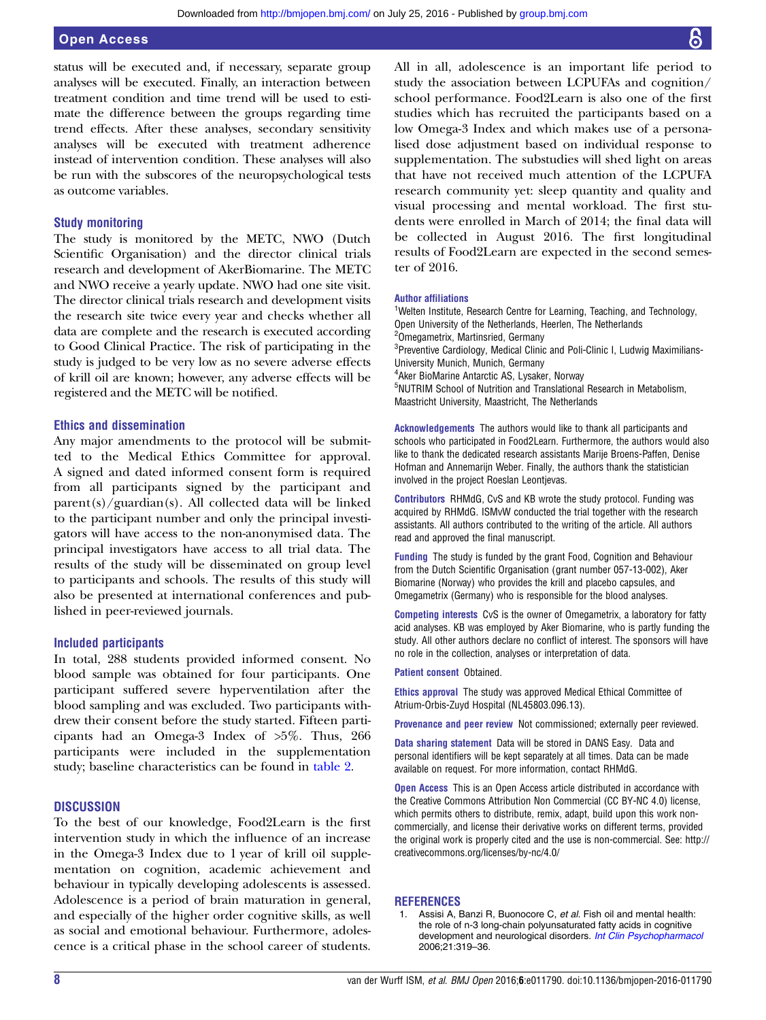<span id="page-8-0"></span>status will be executed and, if necessary, separate group analyses will be executed. Finally, an interaction between treatment condition and time trend will be used to estimate the difference between the groups regarding time trend effects. After these analyses, secondary sensitivity analyses will be executed with treatment adherence instead of intervention condition. These analyses will also be run with the subscores of the neuropsychological tests as outcome variables.

# Study monitoring

The study is monitored by the METC, NWO (Dutch Scientific Organisation) and the director clinical trials research and development of AkerBiomarine. The METC and NWO receive a yearly update. NWO had one site visit. The director clinical trials research and development visits the research site twice every year and checks whether all data are complete and the research is executed according to Good Clinical Practice. The risk of participating in the study is judged to be very low as no severe adverse effects of krill oil are known; however, any adverse effects will be registered and the METC will be notified.

### Ethics and dissemination

Any major amendments to the protocol will be submitted to the Medical Ethics Committee for approval. A signed and dated informed consent form is required from all participants signed by the participant and  $parent(s)/guardian(s)$ . All collected data will be linked to the participant number and only the principal investigators will have access to the non-anonymised data. The principal investigators have access to all trial data. The results of the study will be disseminated on group level to participants and schools. The results of this study will also be presented at international conferences and published in peer-reviewed journals.

#### Included participants

In total, 288 students provided informed consent. No blood sample was obtained for four participants. One participant suffered severe hyperventilation after the blood sampling and was excluded. Two participants withdrew their consent before the study started. Fifteen participants had an Omega-3 Index of >5%. Thus, 266 participants were included in the supplementation study; baseline characteristics can be found in [table 2.](#page-7-0)

#### **DISCUSSION**

To the best of our knowledge, Food2Learn is the first intervention study in which the influence of an increase in the Omega-3 Index due to 1 year of krill oil supplementation on cognition, academic achievement and behaviour in typically developing adolescents is assessed. Adolescence is a period of brain maturation in general, and especially of the higher order cognitive skills, as well as social and emotional behaviour. Furthermore, adolescence is a critical phase in the school career of students.

All in all, adolescence is an important life period to study the association between LCPUFAs and cognition/ school performance. Food2Learn is also one of the first studies which has recruited the participants based on a low Omega-3 Index and which makes use of a personalised dose adjustment based on individual response to supplementation. The substudies will shed light on areas that have not received much attention of the LCPUFA research community yet: sleep quantity and quality and visual processing and mental workload. The first students were enrolled in March of 2014; the final data will be collected in August 2016. The first longitudinal results of Food2Learn are expected in the second semester of 2016.

#### Author affiliations

<sup>1</sup>Welten Institute, Research Centre for Learning, Teaching, and Technology, Open University of the Netherlands, Heerlen, The Netherlands <sup>2</sup>Omegametrix, Martinsried, Germany <sup>3</sup>Preventive Cardiology, Medical Clinic and Poli-Clinic I, Ludwig Maximilians-University Munich, Munich, Germany 4 Aker BioMarine Antarctic AS, Lysaker, Norway 5 NUTRIM School of Nutrition and Translational Research in Metabolism, Maastricht University, Maastricht, The Netherlands

Acknowledgements The authors would like to thank all participants and schools who participated in Food2Learn. Furthermore, the authors would also like to thank the dedicated research assistants Marije Broens-Paffen, Denise Hofman and Annemarijn Weber. Finally, the authors thank the statistician involved in the project Roeslan Leontjevas.

Contributors RHMdG, CvS and KB wrote the study protocol. Funding was acquired by RHMdG. ISMvW conducted the trial together with the research assistants. All authors contributed to the writing of the article. All authors read and approved the final manuscript.

Funding The study is funded by the grant Food, Cognition and Behaviour from the Dutch Scientific Organisation (grant number 057-13-002), Aker Biomarine (Norway) who provides the krill and placebo capsules, and Omegametrix (Germany) who is responsible for the blood analyses.

Competing interests CvS is the owner of Omegametrix, a laboratory for fatty acid analyses. KB was employed by Aker Biomarine, who is partly funding the study. All other authors declare no conflict of interest. The sponsors will have no role in the collection, analyses or interpretation of data.

#### Patient consent Obtained.

Ethics approval The study was approved Medical Ethical Committee of Atrium-Orbis-Zuyd Hospital (NL45803.096.13).

Provenance and peer review Not commissioned; externally peer reviewed.

Data sharing statement Data will be stored in DANS Easy. Data and personal identifiers will be kept separately at all times. Data can be made available on request. For more information, contact RHMdG.

Open Access This is an Open Access article distributed in accordance with the Creative Commons Attribution Non Commercial (CC BY-NC 4.0) license, which permits others to distribute, remix, adapt, build upon this work noncommercially, and license their derivative works on different terms, provided the original work is properly cited and the use is non-commercial. See: [http://](http://creativecommons.org/licenses/by-nc/4.0/) [creativecommons.org/licenses/by-nc/4.0/](http://creativecommons.org/licenses/by-nc/4.0/)

#### **REFERENCES**

Assisi A, Banzi R, Buonocore C, et al. Fish oil and mental health: the role of n-3 long-chain polyunsaturated fatty acids in cognitive development and neurological disorders. [Int Clin Psychopharmacol](http://dx.doi.org/10.1097/01.yic.0000224790.98534.11) 2006;21:319–36.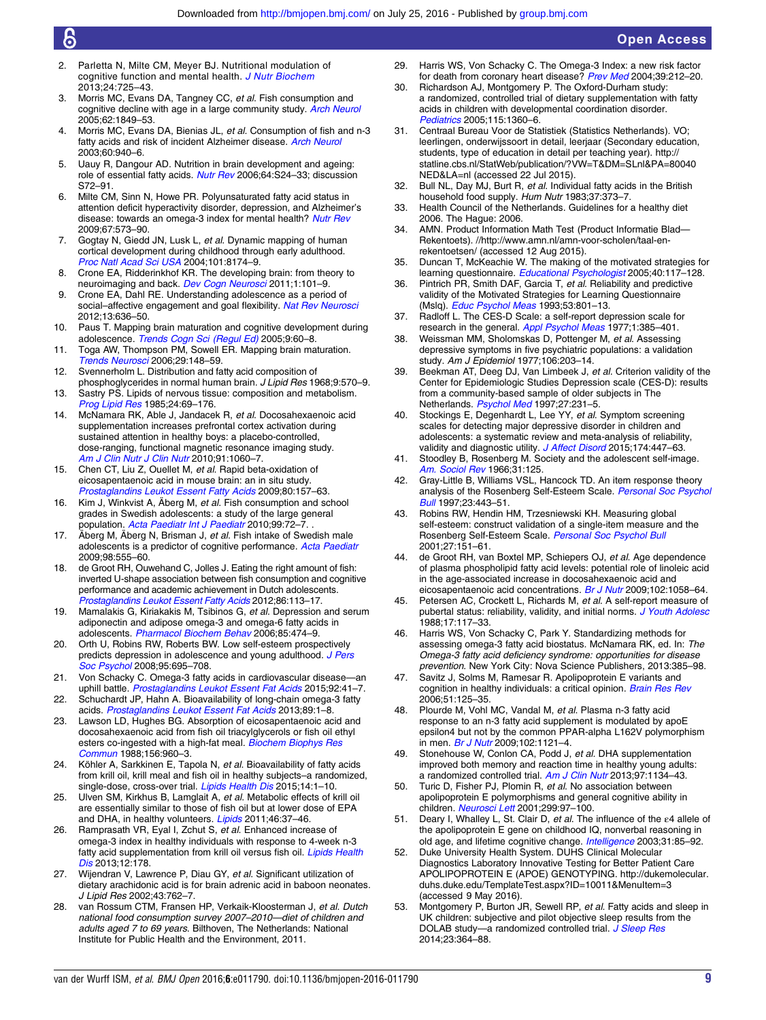- <span id="page-9-0"></span>2. Parletta N, Milte CM, Meyer BJ. Nutritional modulation of cognitive function and mental health. [J Nutr Biochem](http://dx.doi.org/10.1016/j.jnutbio.2013.01.002) 2013;24:725–43.
- 3. Morris MC, Evans DA, Tangney CC, et al. Fish consumption and cognitive decline with age in a large community study. [Arch Neurol](http://dx.doi.org/10.1001/archneur.62.12.noc50161) 2005;62:1849–53.
- Morris MC, Evans DA, Bienias JL, et al. Consumption of fish and n-3 fatty acids and risk of incident Alzheimer disease. [Arch Neurol](http://dx.doi.org/10.1001/archneur.60.7.940) 2003;60:940–6.
- 5. Uauy R, Dangour AD. Nutrition in brain development and ageing: role of essential fatty acids. [Nutr Rev](http://dx.doi.org/10.1301/nr.2006.may.S24-S33) 2006;64:S24-33; discussion S72–91.
- 6. Milte CM, Sinn N, Howe PR. Polyunsaturated fatty acid status in attention deficit hyperactivity disorder, depression, and Alzheimer's disease: towards an omega-3 index for mental health? [Nutr Rev](http://dx.doi.org/10.1111/j.1753-4887.2009.00229.x) 2009;67:573–90.
- 7. Gogtay N, Giedd JN, Lusk L, et al. Dynamic mapping of human cortical development during childhood through early adulthood. [Proc Natl Acad Sci USA](http://dx.doi.org/10.1073/pnas.0402680101) 2004;101:8174-9.
- 8. Crone EA, Ridderinkhof KR. The developing brain: from theory to neuroimaging and back. [Dev Cogn Neurosci](http://dx.doi.org/10.1016/j.dcn.2010.12.001) 2011;1:101-9.
- 9. Crone EA, Dahl RE. Understanding adolescence as a period of social–affective engagement and goal flexibility. [Nat Rev Neurosci](http://dx.doi.org/10.1038/nrn3313) 2012;13:636–50.
- 10. Paus T. Mapping brain maturation and cognitive development during adolescence. [Trends Cogn Sci \(Regul Ed\)](http://dx.doi.org/10.1016/j.tics.2004.12.008) 2005;9:60-8.
- 11. Toga AW, Thompson PM, Sowell ER. Mapping brain maturation. [Trends Neurosci](http://dx.doi.org/10.1016/j.tins.2006.01.007) 2006;29:148–59.
- 12. Svennerholm L. Distribution and fatty acid composition of phosphoglycerides in normal human brain. J Lipid Res 1968;9:570–9.
- 13. Sastry PS. Lipids of nervous tissue: composition and metabolism. [Prog Lipid Res](http://dx.doi.org/10.1016/0163-7827(85)90011-6) 1985;24:69–176.
- 14. McNamara RK, Able J, Jandacek R, et al. Docosahexaenoic acid supplementation increases prefrontal cortex activation during sustained attention in healthy boys: a placebo-controlled, dose-ranging, functional magnetic resonance imaging study. [Am J Clin Nutr J Clin Nutr](http://dx.doi.org/10.3945/ajcn.2009.28549) 2010;91:1060–7.
- 15. Chen CT, Liu Z, Ouellet M, et al. Rapid beta-oxidation of eicosapentaenoic acid in mouse brain: an in situ study. [Prostaglandins Leukot Essent Fatty Acids](http://dx.doi.org/10.1016/j.plefa.2009.01.005) 2009;80:157–63.
- 16. Kim J, Winkvist A, Äberg M, et al. Fish consumption and school grades in Swedish adolescents: a study of the large general population. [Acta Paediatr Int J Paediatr](http://dx.doi.org/10.1111/j.1651-2227.2009.01545.x) 2010;99:72–7. .
- 17. Aberg M, Aberg N, Brisman J, et al. Fish intake of Swedish male adolescents is a predictor of cognitive performance. [Acta Paediatr](http://dx.doi.org/10.1111/j.1651-2227.2008.01103.x) 2009;98:555–60.
- 18. de Groot RH, Ouwehand C, Jolles J. Eating the right amount of fish: inverted U-shape association between fish consumption and cognitive performance and academic achievement in Dutch adolescents. [Prostaglandins Leukot Essent Fatty Acids](http://dx.doi.org/10.1016/j.plefa.2012.01.002) 2012;86:113–17.
- 19. Mamalakis G, Kiriakakis M, Tsibinos G, et al. Depression and serum adiponectin and adipose omega-3 and omega-6 fatty acids in adolescents. [Pharmacol Biochem Behav](http://dx.doi.org/10.1016/j.pbb.2006.10.008) 2006;85:474–9.
- 20. Orth U, Robins RW, Roberts BW. Low self-esteem prospectively predicts depression in adolescence and young adulthood. [J Pers](http://dx.doi.org/10.1037/0022-3514.95.3.695) [Soc Psychol](http://dx.doi.org/10.1037/0022-3514.95.3.695) 2008;95:695–708.
- 21. Von Schacky C. Omega-3 fatty acids in cardiovascular disease—an uphill battle. [Prostaglandins Leukot Essent Fat Acids](http://dx.doi.org/10.1016/j.plefa.2014.05.004) 2015;92:41-7.
- 22. Schuchardt JP, Hahn A. Bioavailability of long-chain omega-3 fatty acids. [Prostaglandins Leukot Essent Fat Acids](http://dx.doi.org/10.1016/j.plefa.2013.03.010) 2013;89:1–8.
- 23. Lawson LD, Hughes BG. Absorption of eicosapentaenoic acid and docosahexaenoic acid from fish oil triacylglycerols or fish oil ethyl esters co-ingested with a high-fat meal. [Biochem Biophys Res](http://dx.doi.org/10.1016/S0006-291X(88)80937-9) [Commun](http://dx.doi.org/10.1016/S0006-291X(88)80937-9) 1988;156:960–3.
- 24. Köhler A, Sarkkinen E, Tapola N, et al. Bioavailability of fatty acids from krill oil, krill meal and fish oil in healthy subjects–a randomized, single-dose, cross-over trial. [Lipids Health Dis](http://dx.doi.org/10.1186/s12944-015-0015-4) 2015;14:1-10.
- 25. Ulven SM, Kirkhus B, Lamglait A, et al. Metabolic effects of krill oil are essentially similar to those of fish oil but at lower dose of EPA and DHA, in healthy volunteers. [Lipids](http://dx.doi.org/10.1007/s11745-010-3490-4) 2011;46:37-46.
- 26. Ramprasath VR, Eyal I, Zchut S, et al. Enhanced increase of omega-3 index in healthy individuals with response to 4-week n-3 fatty acid supplementation from krill oil versus fish oil. [Lipids Health](http://dx.doi.org/10.1186/1476-511X-12-178) [Dis](http://dx.doi.org/10.1186/1476-511X-12-178) 2013;12:178.
- 27. Wijendran V, Lawrence P, Diau GY, et al. Significant utilization of dietary arachidonic acid is for brain adrenic acid in baboon neonates. J Lipid Res 2002;43:762–7.
- 28. van Rossum CTM, Fransen HP, Verkaik-Kloosterman J, et al. Dutch national food consumption survey 2007–2010—diet of children and adults aged 7 to 69 years. Bilthoven, The Netherlands: National Institute for Public Health and the Environment, 2011.
- 29. Harris WS, Von Schacky C. The Omega-3 Index: a new risk factor for death from coronary heart disease? [Prev Med](http://dx.doi.org/10.1016/j.ypmed.2004.02.030) 2004;39:212-20.
- 30. Richardson AJ, Montgomery P. The Oxford-Durham study: a randomized, controlled trial of dietary supplementation with fatty acids in children with developmental coordination disorder. [Pediatrics](http://dx.doi.org/10.1542/peds.2004-2164) 2005;115:1360–6.
- 31. Centraal Bureau Voor de Statistiek (Statistics Netherlands). VO; leerlingen, onderwijssoort in detail, leerjaar (Secondary education, students, type of education in detail per teaching year). [http://](http://statline.cbs.nl/StatWeb/publication/?VW=T&DM=SLnl&PA=80040NED&LA=nl) [statline.cbs.nl/StatWeb/publication/?VW=T&DM=SLnl&PA=80040](http://statline.cbs.nl/StatWeb/publication/?VW=T&DM=SLnl&PA=80040NED&LA=nl) [NED&LA=nl](http://statline.cbs.nl/StatWeb/publication/?VW=T&DM=SLnl&PA=80040NED&LA=nl) (accessed 22 Jul 2015).
- 32. Bull NL, Day MJ, Burt R, et al. Individual fatty acids in the British household food supply. Hum Nutr 1983;37:373–7.
- 33. Health Council of the Netherlands. Guidelines for a healthy diet 2006. The Hague: 2006.
- 34. AMN. Product Information Math Test (Product Informatie Blad— Rekentoets). [//http://www.amn.nl/amn-voor-scholen/taal-en](//http://www.amn.nl/amn-voor-scholen/taal-en-rekentoetsen/)[rekentoetsen/](//http://www.amn.nl/amn-voor-scholen/taal-en-rekentoetsen/) (accessed 12 Aug 2015).
- 35. Duncan T, McKeachie W. The making of the motivated strategies for learning questionnaire. [Educational Psychologist](http://dx.doi.org/10.1207/s15326985ep4002_6) 2005;40:117-128.
- 36. Pintrich PR, Smith DAF, Garcia T, et al. Reliability and predictive validity of the Motivated Strategies for Learning Questionnaire (Mslg). [Educ Psychol Meas](http://dx.doi.org/10.1177/0013164493053003024) 1993;53:801-13.
- 37. Radloff L. The CES-D Scale: a self-report depression scale for research in the general. [Appl Psychol Meas](http://dx.doi.org/10.1177/014662167700100306) 1977;1:385-401.
- 38. Weissman MM, Sholomskas D, Pottenger M, et al. Assessing depressive symptoms in five psychiatric populations: a validation study. Am J Epidemiol 1977;106:203–14.
- 39. Beekman AT, Deeg DJ, Van Limbeek J, et al. Criterion validity of the Center for Epidemiologic Studies Depression scale (CES-D): results from a community-based sample of older subjects in The Netherlands. [Psychol Med](http://dx.doi.org/10.1017/S0033291796003510) 1997;27:231–5.
- 40. Stockings E, Degenhardt L, Lee YY, et al. Symptom screening scales for detecting major depressive disorder in children and adolescents: a systematic review and meta-analysis of reliability, validity and diagnostic utility. [J Affect Disord](http://dx.doi.org/10.1016/j.jad.2014.11.061) 2015;174:447-63.
- 41. Stoodley B, Rosenberg M. Society and the adolescent self-image. [Am. Sociol Rev](http://dx.doi.org/10.2307/2091308) 1966;31:125.
- 42. Gray-Little B, Williams VSL, Hancock TD. An item response theory analysis of the Rosenberg Self-Esteem Scale. [Personal Soc Psychol](http://dx.doi.org/10.1177/0146167297235001) [Bull](http://dx.doi.org/10.1177/0146167297235001) 1997;23:443–51.
- 43. Robins RW, Hendin HM, Trzesniewski KH. Measuring global self-esteem: construct validation of a single-item measure and the Rosenberg Self-Esteem Scale. [Personal Soc Psychol Bull](http://dx.doi.org/10.1177/0146167201272002) 2001;27:151–61.
- de Groot RH, van Boxtel MP, Schiepers OJ, et al. Age dependence of plasma phospholipid fatty acid levels: potential role of linoleic acid in the age-associated increase in docosahexaenoic acid and eicosapentaenoic acid concentrations. [Br J Nutr](http://dx.doi.org/10.1017/S0007114509359103) 2009;102:1058–64.
- 45. Petersen AC, Crockett L, Richards M, et al. A self-report measure of pubertal status: reliability, validity, and initial norms. [J Youth Adolesc](http://dx.doi.org/10.1007/BF01537962) 1988;17:117–33.
- 46. Harris WS, Von Schacky C, Park Y. Standardizing methods for assessing omega-3 fatty acid biostatus. McNamara RK, ed. In: The Omega-3 fatty acid deficiency syndrome: opportunities for disease prevention. New York City: Nova Science Publishers, 2013:385–98.
- 47. Savitz J, Solms M, Ramesar R. Apolipoprotein E variants and cognition in healthy individuals: a critical opinion. [Brain Res Rev](http://dx.doi.org/10.1016/j.brainresrev.2005.10.006) 2006;51:125–35.
- 48. Plourde M, Vohl MC, Vandal M, et al. Plasma n-3 fatty acid response to an n-3 fatty acid supplement is modulated by apoE epsilon4 but not by the common PPAR-alpha L162V polymorphism in men. [Br J Nutr](http://dx.doi.org/10.1017/S000711450938215X) 2009;102:1121–4.
- Stonehouse W, Conlon CA, Podd J, et al. DHA supplementation improved both memory and reaction time in healthy young adults: a randomized controlled trial. [Am J Clin Nutr](http://dx.doi.org/10.3945/ajcn.112.053371) 2013;97:1134-43.
- 50. Turic D, Fisher PJ, Plomin R, et al. No association between apolipoprotein E polymorphisms and general cognitive ability in children. [Neurosci Lett](http://dx.doi.org/10.1016/S0304-3940(00)01789-4) 2001;299:97-100.
- 51. Deary I, Whalley L, St. Clair D, et al. The influence of the ε4 allele of the apolipoprotein E gene on childhood IQ, nonverbal reasoning in old age, and lifetime cognitive change. *[Intelligence](http://dx.doi.org/10.1016/S0160-2896(02)00114-9)* 2003;31:85-92.
- 52. Duke University Health System. DUHS Clinical Molecular Diagnostics Laboratory Innovative Testing for Better Patient Care APOLIPOPROTEIN E (APOE) GENOTYPING. [http://dukemolecular.](http://dukemolecular.duhs.duke.edu/TemplateTest.aspx?ID=10011&MenuItem=3) [duhs.duke.edu/TemplateTest.aspx?ID=10011&MenuItem=3](http://dukemolecular.duhs.duke.edu/TemplateTest.aspx?ID=10011&MenuItem=3) (accessed 9 May 2016).
- 53. Montgomery P, Burton JR, Sewell RP, et al. Fatty acids and sleep in UK children: subjective and pilot objective sleep results from the DOLAB study-a randomized controlled trial. [J Sleep Res](http://dx.doi.org/10.1111/jsr.12135) 2014;23:364–88.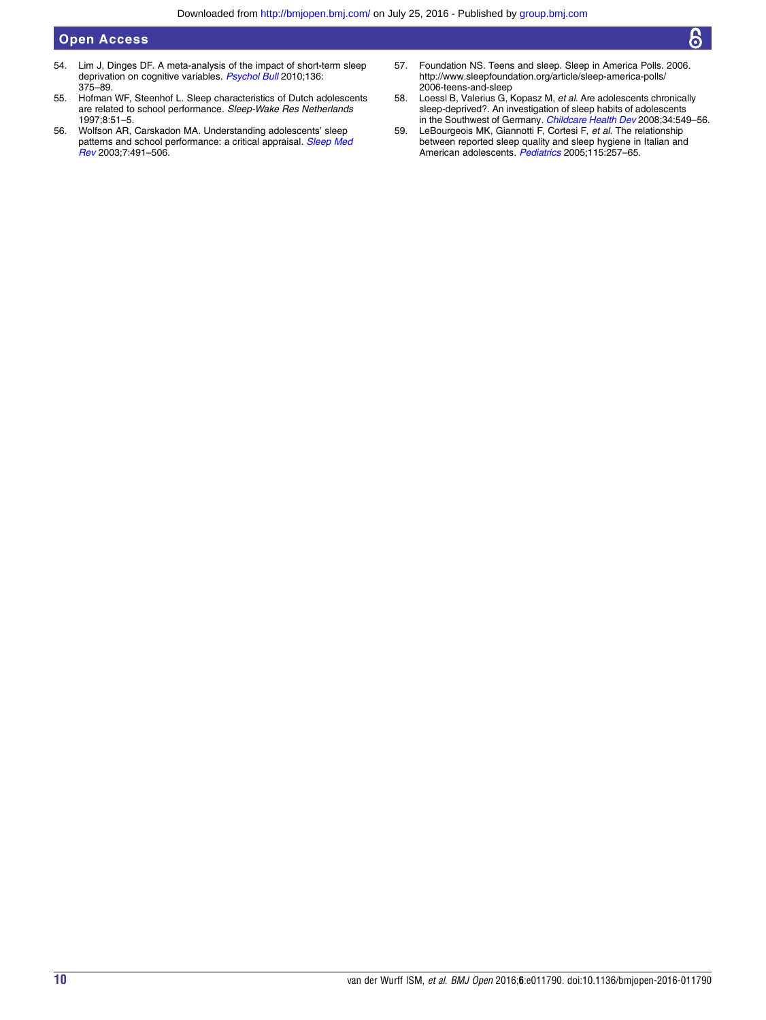- <span id="page-10-0"></span>54. Lim J, Dinges DF. A meta-analysis of the impact of short-term sleep deprivation on cognitive variables. [Psychol Bull](http://dx.doi.org/10.1037/a0018883) 2010;136: 375–89.
- 55. Hofman WF, Steenhof L. Sleep characteristics of Dutch adolescents are related to school performance. Sleep-Wake Res Netherlands 1997;8:51–5.
- 56. Wolfson AR, Carskadon MA. Understanding adolescents' sleep patterns and school performance: a critical appraisal. [Sleep Med](http://dx.doi.org/10.1016/S1087-0792(03)90003-7) [Rev](http://dx.doi.org/10.1016/S1087-0792(03)90003-7) 2003;7:491–506.
- 57. Foundation NS. Teens and sleep. Sleep in America Polls. 2006. [http://www.sleepfoundation.org/article/sleep-america-polls/](http://www.sleepfoundation.org/article/sleep-america-polls/2006-teens-and-sleep) [2006-teens-and-sleep](http://www.sleepfoundation.org/article/sleep-america-polls/2006-teens-and-sleep)
- 58. Loessl B, Valerius G, Kopasz M, et al. Are adolescents chronically sleep-deprived?. An investigation of sleep habits of adolescents in the Southwest of Germany. [Childcare Health Dev](http://dx.doi.org/10.1111/j.1365-2214.2008.00845.x) 2008;34:549–56.
- 59. LeBourgeois MK, Giannotti F, Cortesi F, et al. The relationship between reported sleep quality and sleep hygiene in Italian and American adolescents. [Pediatrics](http://dx.doi.org/10.1542/peds.2004-0815H) 2005;115:257-65.